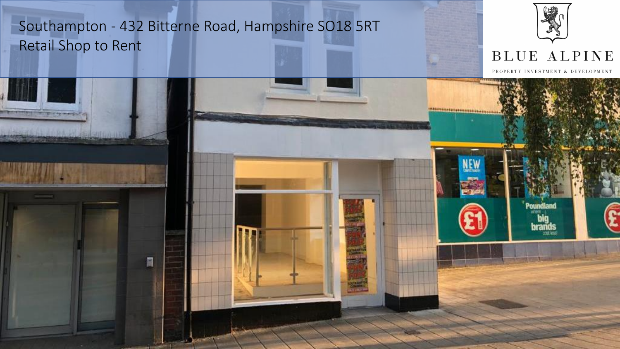

# BLUE ALPINE

PROPERTY INVESTMENT & DEVELOPMENT

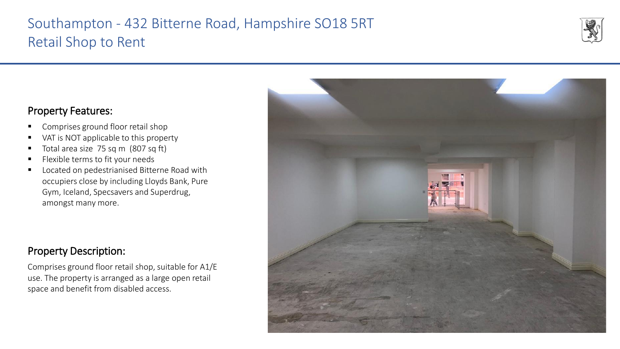

## Property Features:

- Comprises ground floor retail shop
- VAT is NOT applicable to this property
- Total area size 75 sq m (807 sq ft)
- Flexible terms to fit your needs
- Located on pedestrianised Bitterne Road with occupiers close by including Lloyds Bank, Pure Gym, Iceland, Specsavers and Superdrug, amongst many more.

# Property Description:

Comprises ground floor retail shop, suitable for A1/E use. The property is arranged as a large open retail space and benefit from disabled access.

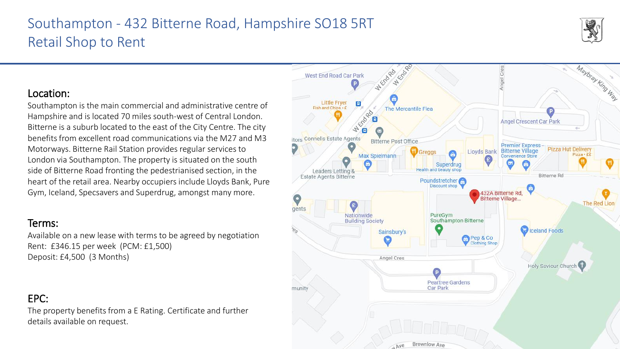# Location:

Southampton is the main commercial and administrative centre of Hampshire and is located 70 miles south-west of Central London. Bitterne is a suburb located to the east of the City Centre. The city benefits from excellent road communications via the M27 and M3 Motorways. Bitterne Rail Station provides regular services to London via Southampton. The property is situated on the south side of Bitterne Road fronting the pedestrianised section, in the heart of the retail area. Nearby occupiers include Lloyds Bank, Pure Gym, Iceland, Specsavers and Superdrug, amongst many more.

### Terms:

Available on a new lease with terms to be agreed by negotiation Rent: £346.15 per week (PCM: £1,500) Deposit: £4,500 (3 Months)

## EPC:

The property benefits from a E Rating. Certificate and further details available on request.